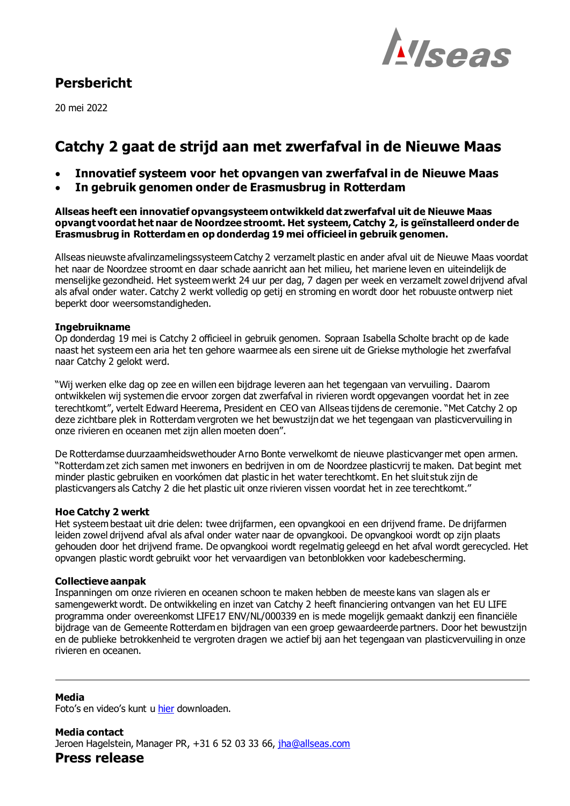### **Persbericht**

20 mei 2022



## **Catchy 2 gaat de strijd aan met zwerfafval in de Nieuwe Maas**

- **Innovatief systeem voor het opvangen van zwerfafval in de Nieuwe Maas**
- **In gebruik genomen onder de Erasmusbrug in Rotterdam**

**Allseas heeft een innovatief opvangsysteem ontwikkeld dat zwerfafval uit de Nieuwe Maas opvangt voordat het naar de Noordzee stroomt. Het systeem, Catchy 2, is geïnstalleerd onder de Erasmusbrug in Rotterdam en op donderdag 19 mei officieel in gebruik genomen.**

Allseas nieuwste afvalinzamelingssysteem Catchy 2 verzamelt plastic en ander afval uit de Nieuwe Maas voordat het naar de Noordzee stroomt en daar schade aanricht aan het milieu, het mariene leven en uiteindelijk de menselijke gezondheid. Het systeem werkt 24 uur per dag, 7 dagen per week en verzamelt zowel drijvend afval als afval onder water. Catchy 2 werkt volledig op getij en stroming en wordt door het robuuste ontwerp niet beperkt door weersomstandigheden.

#### **Ingebruikname**

Op donderdag 19 mei is Catchy 2 officieel in gebruik genomen. Sopraan Isabella Scholte bracht op de kade naast het systeem een aria het ten gehore waarmee als een sirene uit de Griekse mythologie het zwerfafval naar Catchy 2 gelokt werd.

"Wij werken elke dag op zee en willen een bijdrage leveren aan het tegengaan van vervuiling. Daarom ontwikkelen wij systemen die ervoor zorgen dat zwerfafval in rivieren wordt opgevangen voordat het in zee terechtkomt", vertelt Edward Heerema, President en CEO van Allseas tijdens de ceremonie. "Met Catchy 2 op deze zichtbare plek in Rotterdam vergroten we het bewustzijn dat we het tegengaan van plasticvervuiling in onze rivieren en oceanen met zijn allen moeten doen".

De Rotterdamse duurzaamheidswethouder Arno Bonte verwelkomt de nieuwe plasticvanger met open armen. "Rotterdam zet zich samen met inwoners en bedrijven in om de Noordzee plasticvrij te maken. Dat begint met minder plastic gebruiken en voorkómen dat plastic in het water terechtkomt. En het sluit stuk zijn de plasticvangers als Catchy 2 die het plastic uit onze rivieren vissen voordat het in zee terechtkomt."

### **Hoe Catchy 2 werkt**

Het systeem bestaat uit drie delen: twee drijfarmen, een opvangkooi en een drijvend frame. De drijfarmen leiden zowel drijvend afval als afval onder water naar de opvangkooi. De opvangkooi wordt op zijn plaats gehouden door het drijvend frame. De opvangkooi wordt regelmatig geleegd en het afval wordt gerecycled. Het opvangen plastic wordt gebruikt voor het vervaardigen van betonblokken voor kadebescherming.

#### **Collectieve aanpak**

Inspanningen om onze rivieren en oceanen schoon te maken hebben de meeste kans van slagen als er samengewerkt wordt. De ontwikkeling en inzet van Catchy 2 heeft financiering ontvangen van het EU LIFE programma onder overeenkomst LIFE17 ENV/NL/000339 en is mede mogelijk gemaakt dankzij een financiële bijdrage van de Gemeente Rotterdam en bijdragen van een groep gewaardeerde partners. Door het bewustzijn en de publieke betrokkenheid te vergroten dragen we actief bij aan het tegengaan van plasticvervuiling in onze rivieren en oceanen.

**Media** Foto's en video's kunt u [hier](https://allseas-my.sharepoint.com/:f:/p/jha/EuBH4OweFtpHgixkVoiPIbcBT1Dnp7_XtHbln3gEuPAmOA?e=ap7Zdf) downloaden.

**Media contact** Jeroen Hagelstein, Manager PR, +31 6 52 03 33 66, jha@allseas.com

**Press release**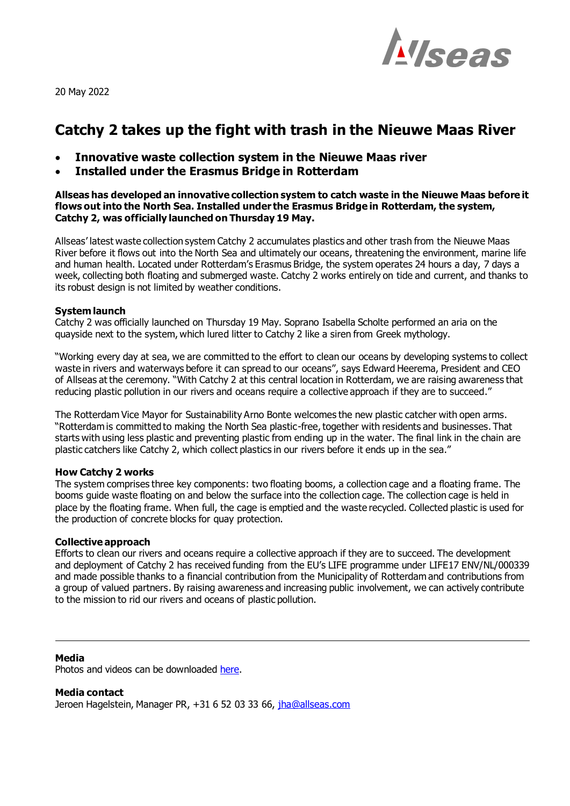

20 May 2022

# **Catchy 2 takes up the fight with trash in the Nieuwe Maas River**

- **Innovative waste collection system in the Nieuwe Maas river**
- **Installed under the Erasmus Bridge in Rotterdam**

**Allseas has developed an innovative collection system to catch waste in the Nieuwe Maas before it flows out into the North Sea. Installed under the Erasmus Bridge in Rotterdam, the system, Catchy 2, was officially launched on Thursday 19 May.**

Allseas' latest waste collection system Catchy 2 accumulates plastics and other trash from the Nieuwe Maas River before it flows out into the North Sea and ultimately our oceans, threatening the environment, marine life and human health. Located under Rotterdam's Erasmus Bridge, the system operates 24 hours a day, 7 days a week, collecting both floating and submerged waste. Catchy 2 works entirely on tide and current, and thanks to its robust design is not limited by weather conditions.

#### **System launch**

Catchy 2 was officially launched on Thursday 19 May. Soprano Isabella Scholte performed an aria on the quayside next to the system, which lured litter to Catchy 2 like a siren from Greek mythology.

"Working every day at sea, we are committed to the effort to clean our oceans by developing systems to collect waste in rivers and waterways before it can spread to our oceans", says Edward Heerema, President and CEO of Allseas at the ceremony. "With Catchy 2 at this central location in Rotterdam, we are raising awareness that reducing plastic pollution in our rivers and oceans require a collective approach if they are to succeed."

The Rotterdam Vice Mayor for Sustainability Arno Bonte welcomes the new plastic catcher with open arms. "Rotterdam is committed to making the North Sea plastic-free, together with residents and businesses. That starts with using less plastic and preventing plastic from ending up in the water. The final link in the chain are plastic catchers like Catchy 2, which collect plastics in our rivers before it ends up in the sea."

#### **How Catchy 2 works**

The system comprises three key components: two floating booms, a collection cage and a floating frame. The booms guide waste floating on and below the surface into the collection cage. The collection cage is held in place by the floating frame. When full, the cage is emptied and the waste recycled. Collected plastic is used for the production of concrete blocks for quay protection.

#### **Collective approach**

Efforts to clean our rivers and oceans require a collective approach if they are to succeed. The development and deployment of Catchy 2 has received funding from the EU's LIFE programme under LIFE17 ENV/NL/000339 and made possible thanks to a financial contribution from the Municipality of Rotterdam and contributions from a group of valued partners. By raising awareness and increasing public involvement, we can actively contribute to the mission to rid our rivers and oceans of plastic pollution.

#### **Media**

Photos and videos can be downloaded [here.](https://allseas-my.sharepoint.com/:f:/p/jha/EuBH4OweFtpHgixkVoiPIbcBT1Dnp7_XtHbln3gEuPAmOA?e=ap7Zdf)

**Media contact** Jeroen Hagelstein, Manager PR, +31 6 52 03 33 66, jha@allseas.com